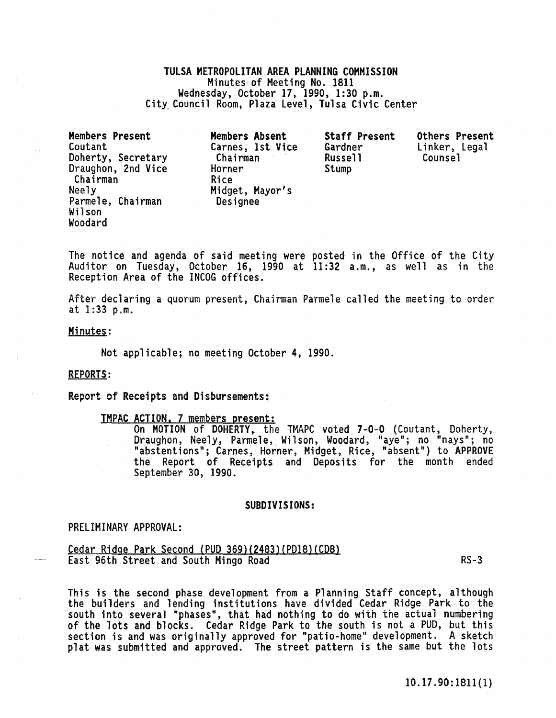## TULSA METROPOLITAN AREA PLANNING COMMISSION Minutes of Meeting No. 1811<br>Wednesday, October 17, 1990, 1:30 p.m. City Council Room, Plaza Level, Tulsa Civic Center

Members Present Coutant Doherty, Secretary Draughon, 2nd Vice Chairman Neely Parmele, Chairman Wil son Woodard

Members Absent Carnes, 1st Vice Chairman Horner Rice Midget, Mayor's Designee

Staff Present Gardner Russell Stump

Others Present Linker, Legal<br>Counsel

The notice and agenda of said meeting were posted in the Office of the City Auditor on Tuesday, October 16, 1990 at 11:32 a.m., as well as in the Reception Area of the INCOG offices.

After declaring a quorum present, Chairman Parmele called the meeting to order at 1:33 p.m.

Minutes:

Not applicable; no meeting October 4, 1990.

### REPORTS:

Report of Receipts and Disbursements:

TMPAC ACTION, 7 members present:<br>On MOTION of DOHERTY, the TMAPC voted 7-0-0 (Coutant, Doherty, On MOTION of DOHERTY, the TMAPC voted 7-0-0 (Coutant, Doherty,<br>Draughon, Neely, Parmele, Wilson, Woodard, "aye"; no "nays"; no "abstentions"; Carnes, Horner, Midget, Rice, "absent") to APPROVE the Report of Receipts and Deposits for the month ended September 30, 1990.

### SUBDIVISIONS:

PRELIMINARY APPROVAL:

Cedar Ridge Park Second (PUD 369)(2483)(PD18)(CD8) East 96th Street and South Mingo Road RS-3

This is the second phase development from a Planning Staff concept, although the builders and lending institutions have divided Cedar Ridge Park to the south into several "phases", that had nothing to do with the actual numbering of the lots and blocks. Cedar Ridge Park to the south is not a PUD, but this section is and was originally approved for "patio-home" development. A sketch plat was submitted and approved. The street pattern is the same but the lots

10.17 . 90: lS11 (1)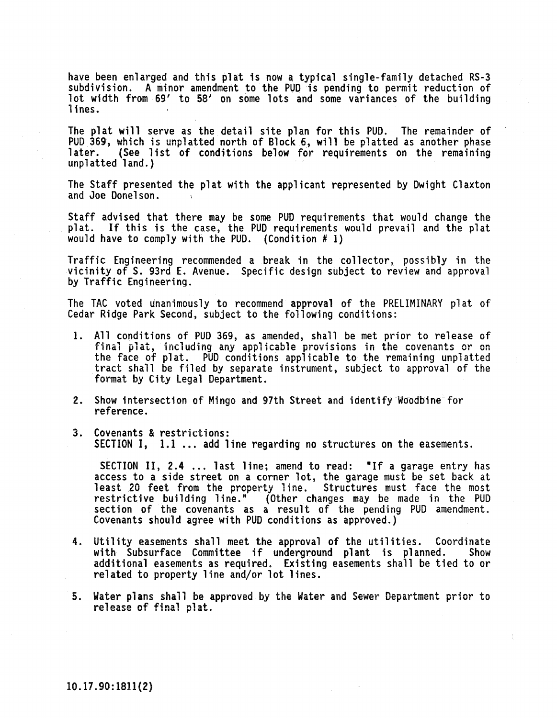have been enlarged and this plat is now a typical single-family detached RS-3 subdivision. A minor amendment to the PUD is pending to permit reduction of lot width from 69' to 58' on some lots and some variances of the building lines.

The plat will serve as the detail site plan for this PUD. The remainder of PUD 369, which is unplatted north of Block 6, will be platted as another phase<br>later. (See list of conditions below for requirements on the remaining<br>unplatted land.)

The Staff presented the plat with the applicant represented by Dwight Claxton and Joe Donelson.

Staff advised that there may be some PUD requirements that would change the plat. If this is the case, the PUD requirements would prevail and the plat would have to comply with the PUD. (Condition  $\#$  1)

Traffic Engineering recommended a break in the collector, possibly in the vicinity of S. 93rd E. Avenue. Specific design subject to review and approval by Traffic Engineering.

The TAC voted unanimously to recommend approval of the PRELIMINARY plat of Cedar Ridge Park Second, subject to the following conditions:

- 1. All conditions of PUD 369, as amended, shall be met prior to release of final plat, including any applicable provisions in the covenants or on the face of plat. PUD conditions applicable to the remaining unplatted tract shall be filed by separate instrument, subject to approval of the format by City Legal Department.
- 2. Show intersection of Mingo and 97th Street and identify Woodbine for reference.
- 3. Covenants & restrictions: SECTION I, 1.1 ... add line regarding no structures on the easements.

SECTION II, 2.4 ... last line; amend to read: "If a garage entry has access to a side street on a corner lot, the garage must be set back at least 20 feet from the property line. Structures must face the most restrictive building line." (Other changes may be made in the PUD section of the covenants as a result of the pending PUD amendment. Covenants should agree with PUD conditions as approved.)

- 4. Utility easements shall meet the approval of the utilities. Coordinate<br>with Subsurface Committee if underground plant is planned. Show with Subsurface Committee if underground plant is planned. additional easements as required. Existing easements shall be tied to or related to property line and/or lot lines.
- 5. Water plans shall be approved by the Water and Sewer Department prior to release of final plat.

10.17.90:1811(2)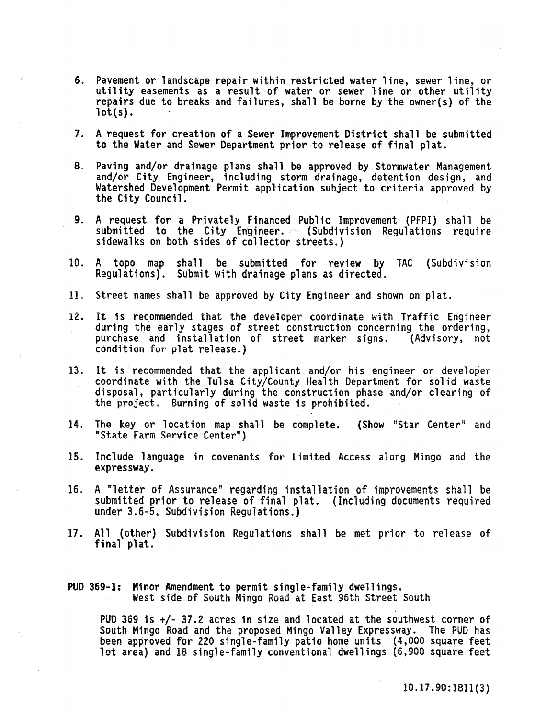- 6. Pavement or landscape repair within restricted water line, sewer line, or utility easements as a result of water or sewer line or other utility repairs due to breaks and failures, shall be borne by the owner(s) of the  $lot(s)$ .
- 1. A request for creation of a Sewer Improvement District shall be submitted to the Water and Sewer Department prior to release of final plat.
- 8. Paving and/or drainage plans shall be approved by Stormwater Management and/or City Engineer, including storm drainage, detention design, and Watershed Development Permit application subject to criteria approved by the City Council.
- 9. A request for a Privately Financed Public Improvement (PFPI) shall be submitted to the City Engineer. (Subdivision Regulations require sidewalks on both sides of collector streets.)
- 10. A topo map shall be submitted for review by TAC (Subdivision Regulations). Submit with drainage plans as directed.
- 11. Street names shall be approved by City Engineer and shown on plat.
- 12. It is recommended that the developer coordinate with Traffic Engineer during the early stages of street construction concerning the ordering, purchase and installation of street marker signs. (Advisory, not condition for plat release.)
- 13. It is recommended that the appl icant and/or his engineer or developer coordinate with the Tulsa City/County Health Department for solid waste disposal, particularly during the construction phase and/or clearing of the project. Burning of solid waste is prohibited.
- 14. The key or location map shall be complete. (Show "Star Center" and "State Farm Service Center")
- 15. Include language in covenants for Limited Access along Mingo and the expressway.
- 16. A "letter of Assurance" regarding installation of improvements shall be submitted prior to release of final plat. (Including documents required under 3.6-5, Subdivision Regulations.)
- 17. All (other) Subdivision Regulations shall be met prior to release of final plat.

# PUD 369-1: Minor Amendment to permit single-family dwellings. West side of South Mingo Road at East 96th Street South

PUD 369 is +/- 37.2 acres in size and located at the southwest corner of South Mingo Road and the proposed Mingo Valley Expressway. The PUD has been approved for 220 single-family patio home units (4,000 square feet lot area) and 18 single-family conventional dwellings (6,900 square feet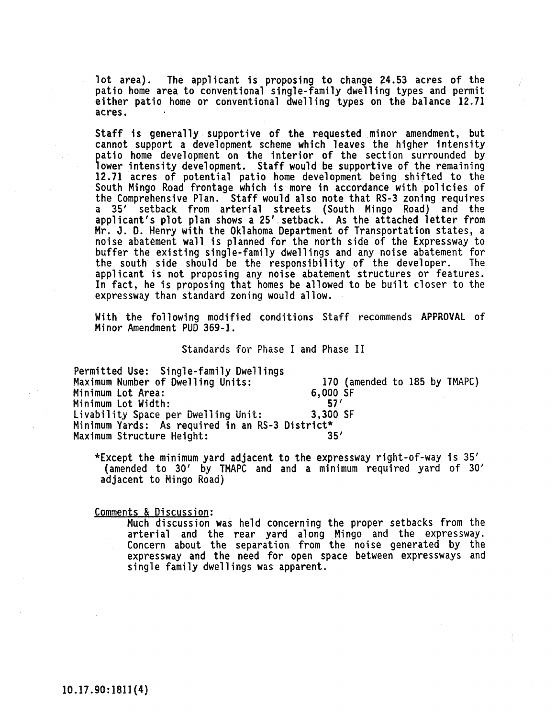lot area). The applicant is proposing to change 24.53 acres of the patio home area to conventional single-family dwelling types and permit either patio home or conventional dwelling types on the balance 12.71 acres.

Staff is generally supportive of the requested minor amendment, but cannot support a development scheme which leaves the higher intensity<br>patio home development on the interior of the section surrounded by lower intensity development. Staff would be supportive of the remaining<br>12.71 acres of potential patio home development being shifted to the South Mingo Road frontage which is more in accordance with policies of the Comprehensive PTan. Staff would also note that RS-3 zoning requires a 35' setback from arterial streets (South Mingo Road) and the applicant's plot plan shows a 25' setback. As the attached letter from Mr. J. D. Henry with the Oklahoma Department of Transportation states, a noise abatement wall is planned for the north side of the Expressway to buffer the eXisting single-family dwellings and any noise abatement for the south side should be the responsibility of the developer. The applicant is not proposing any noise abatement structures or features. In fact, he is proposing that homes be allowed to be built closer to the expressway than standard zoning would allow.

With the following modified conditions Staff recommends APPROVAL of Minor Amendment PUD 369-1.

Standards for Phase I and Phase II

Permitted Use: Single-family Dwellings Maximum Number of Dwelling Units: 170 (amended to 185 by TMAPC) Minimum Lot Area: 6,000<br>Minimum Lot Width: 57' Minimum Lot Width: 57'<br>Livability Space per Dwelling Unit: 3,300 SF Livability Space per Dwelling Unit: Minimum Yards: As required in an RS-3 District\* Maximum Structure Height:

\*Except the minimum yard adjacent to the expressway right-of-way is 35' (amended to 30' by TMAPC and and a minimum required yard of 30' adjacent to Mingo Road)

Comments & Discussion:

Much discussion was held concerning the proper setbacks from the arterial and the rear yard along Mingo and the expressway.<br>Concern about the separation from the noise generated by the expressway and the need for open space between expressways and single family dwellings was apparent.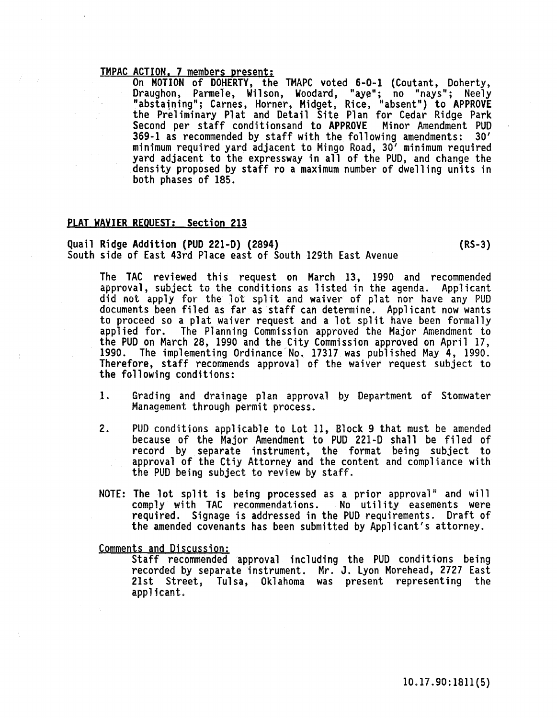TMPAC ACTION. 7 members present: On MOTION of DOHERTY, the TMAPC voted 6-0-1 (Coutant, Doherty, Draughon, Parmele, Wilson, Woodard, "aye"; no "nays"; Neely "abstaining"; Carnes, Horner, Midget, Rice, "absent") to APPROVE the Preliminary Plat and Detail Site Plan for Cedar Ridge Park Second per staff conditionsand to APPROVE Minor Amendment PUD 369-1 as recommended by staff with the following amendments: 30' yard adjacent to the expressway in all of the PUD, and change the density proposed by staff ro a maximum number of dwelling units in both phases of 185.

### PLAT WAVIER REQUEST: Section 213

# Quail Ridge Addition (PUD 221-D) (2894)<br>South side of East 43rd Place east of South 129th East Avenue

The TAC reviewed this request on March 13, 1990 and recommended approval, subject to the conditions as listed in the agenda. Applicant did not apply for the lot split and waiver of plat nor have any PUD documents been filed as far as staff can determine. Applicant now wants

to proceed so a plat waiver request and a lot split have been formally applied for. The Planning Commission approved the Major Amendment to the PUD on March 28, 1990 and the City Commission approved on April 17, 1990. The implementing Ordinance No. 17317 was published May 4, 1990. Therefore, staff recommends approval of the waiver request subject to the following conditions:

- 1. Grading and drainage plan approval by Department of Stomwater Management through permit process.
- 2. PUD conditions applicable to lot 11, Block 9 that must be amended because of the Major Amendment to PUD 221-D shall be filed of record by separate instrument, the format being subject to approval of the Ctiy Attorney and the content and compliance with the PUD being subject to review by staff.
- NOTE: The lot split is being processed as a prior approval" and will comply with TAC recommendations. No utility easements were required. Signage is addressed in the PUD requirements. Draft of the amended covenants has been submitted by Applicant's attorney.

Comments and Discussion:

Staff recommended approval including the PUD conditions being recorded by separate instrument. Mr. J. lyon Morehead, 2727 East 21st Street, Tulsa, Oklahoma was present representing the applicant.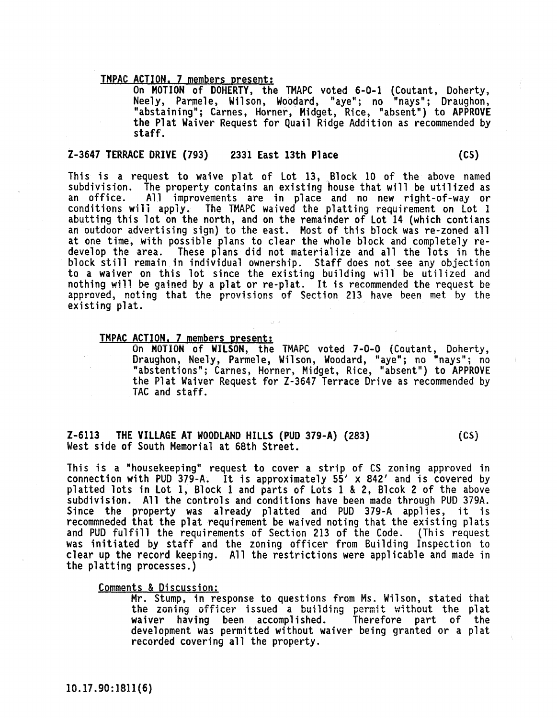**TMPAC ACTION, 7 members present:**<br>On MOTION of DOHERTY, the TMAPC voted 6-0-1 (Coutant, Doherty, On MOTION of DOHERTY, the TMAPC voted 6-0-1 (Coutant, Doherty, Neely, Parmele, Wilson, Woodard, "aye"; no "nays"; Draughon, "abstaining"; Carnes, Horner, Midget, Rice, "absent") to APPROVE the Plat Waiver Request for Quail Ridge Addition as recommended by staff.

### Z-3647 TERRACE DRIVE (793) 2331 East 13th Place (CS)

This is a request to waive plat of Lot 13, Block 10 of the above named subdivision. The property contains an existing house that will be utilized as an office. All improvements are in place and no new right-of-way or conditions will apply. The TMAPC waived the platting requirement on lot 1 abutting this lot on the north, and on the remainder of Lot 14 (which contians an outdoor advertising sign) to the east. Most of this block was re-zoned all at one time, with possible plans to clear the whole block and completely redevelop the area. These plans did not materialize and all the lots in the block still remain in individual ownership, Staff does not see any objection to a waiver on this lot since the existing building will be utilized and nothing will be gained by a plat or re-plat. It is recommended the request be approved, noting that the provisions of Section 213 have been met by the existing plat.

TMPAC ACTION. 7 members present: On MOTION of WILSON, the TMAPC voted 7-0-0 (Coutant, Doherty, Draughon, Neely, Parmele, Wilson, Woodard, "aye"; no "nays"; no "abstentions"; Carnes, Horner, Midget, Rice, "absent") to APPROVE the Plat Waiver Request for Z-3647 Terrace Drive as recommended by TAC and staff.

### I-6113 THE VILLAGE AT WOODLAND HILLS (PUD 379-A) (283) West side of South Memorial at 68th Street.  $(CS)$

This is a "housekeeping" request to cover a strip of CS zoning approved in connection with PUD 379-A. It is approximately 55' x 842' and is covered by platted lots in Lot 1, Block 1 and parts of lots 1 & 2, Bleok 2 of the above subdivision. All the controls and conditions have been made through PUD 379A. Since the property was already platted and PUD 379-A applies, it is recommneded that the plat requirement be waived noting that the existing plats<br>and PUD fulfill the requirements of Section 213 of the Code. (This request and PUD fulfill the requirements of Section 213 of the Code. (This request was initiated by staff and the zoning officer from Building Inspection to clear up the record keeping. All the restrictions were applicable and made in the platting processes.)

### Comments & Discussion:

Mr. Stump, in response to questions from Ms. Wilson, stated that the zoning officer issued a building permit without the plat waiver having been accomplished. development was permitted without waiver being granted or a plat recorded covering all the property. Therefore part of the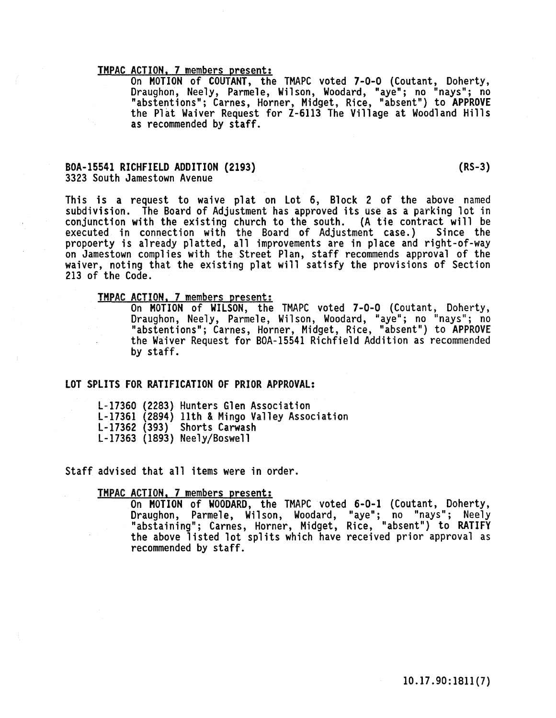TMPAC ACTION. 7 members present: On MOTION of COUTANT, the TMAPC voted 7-0-0 (Coutant, Doherty, Draughon, Neely, Parmele, Wilson, Woodard, "aye"; no "nays"; no "abstentions"; Carnes, Horner, Midget, Rice, "absent") to APPROVE the Plat Waiver Request for Z-6113 The Village at Woodland Hills as recommended by staff.

## BOA-15541 RICHFIELD ADDITION (2193) 3323 South Jamestown Avenue

213 of the Code.

This is a request to waive plat on Lot 6, Block 2 of the above named subdivision. The Board of Adjustment has approved its use as a parking lot in conjunction with the existing church to the south. (A tie contract will be executed in connection with the Board of Adjustment case.) Since the executed in connection with the Board of Adjustment case.) propoerty is already platted, all improvements are in place and right-of-way on Jamestown complies with the Street Plan, staff recommends approval of the waiver, noting that the existing plat will satisfy the provisions of Section

TMPAC ACTION. 7 members present: On MOTION of WILSON, the TMAPC voted 7-0-0 (Coutant, Doherty, Draughon, Neely, Parmele, Wilson, Woodard, iiayeil ; no "nays "; no "abstentions"; Carnes, Horner, Midget, Rice, "absent") to APPROVE the Waiver Request for BOA-15541 Richfield Addition as recommended by staff.

### LOT SPLITS FOR RATIFICATION OF PRIOR APPROVAL:

L-17360 (2283) Hunters Glen Association l-17361 (2894) 11th & Mingo Valley Association L-17362 (393) Shorts Carwash l-17363 (1893) Neely/Boswell

Staff advised that all items were in order.

TMPAC ACTION. 7 members present: On MOTION of WOODARD, the TMAPC voted 6-0-1 (Coutant, Doherty, Draughon, Parmele, Wil son, Woodard, "aye"; no "nays"; Neely "abstaining"; Carnes, Horner, Midget, Rice, "absent") to RATIFY the above listed lot splits which have received prior approval as recommended by staff.

10.17.90:1811(7)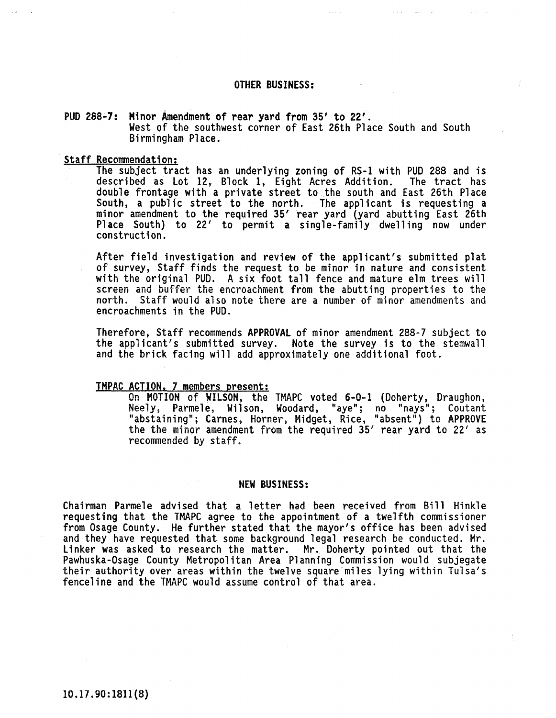### OTHER BUSINESS:

## PUD 288-7: Minor Amendment of rear yard from 35' to 22' . West of the southwest corner of East 26th Place South and South Birmingham Place.

### Staff Recommendation:

The subject tract has an underlying zoning of RS-l with PUD 288 and is described as lot 12, Block 1, Eight Acres Addition. The tract has double frontage with a private street to the south and East 26th Place South, a public street to the north. The applicant is requesting a minor amendment to the required 35' rear yard (yard abutting East 26th Place South) to 22' to permit a single-family dwelling now under construction.

After field investigation and review of the applicant's submitted plat of survey, Staff finds the request to be minor in nature and consistent with the original PUD. A six foot tall fence and mature elm trees will screen and buffer the encroachment from the abutting properties to the north. Staff would also note there are a number of minor amendments and encroachments in the PUD.

Therefore, Staff recommends APPROVAL of minor amendment 288-7 subject to the applicant's submitted survey. Note the survey is to the stemwall and the brick facing will add approximately one additional foot.

TMPAC ACTION. 7 members present: On MOTION of WILSON, the TMAPC voted 6-0-1 (Doherty, Draughon, Neely, Parmele, Wilson, Woodard, "aye"; no "nays"; Coutant "abstaining"; Carnes, Horner, Midget, Rice, "absent") to APPROVE the the minor amendment from the required 35' rear yard to 22' as recommended by staff.

### NEW BUSINESS:

Chairman Parmele advised that a letter had been received from Bill Hinkle requesting that the TMAPC agree to the appointment of a twelfth commissioner from Osage County. He further stated that the mayor's office has been advised and they have requested that some background legal research be conducted. Mr. linker was asked to research the matter. Mr. Doherty pointed out that the Pawhuska-Osage County Metropolitan Area Planning Commission would subjegate<br>their authority over areas within the twelve square miles lying within Tulsa's fenceline and the TMAPC would assume control of that area.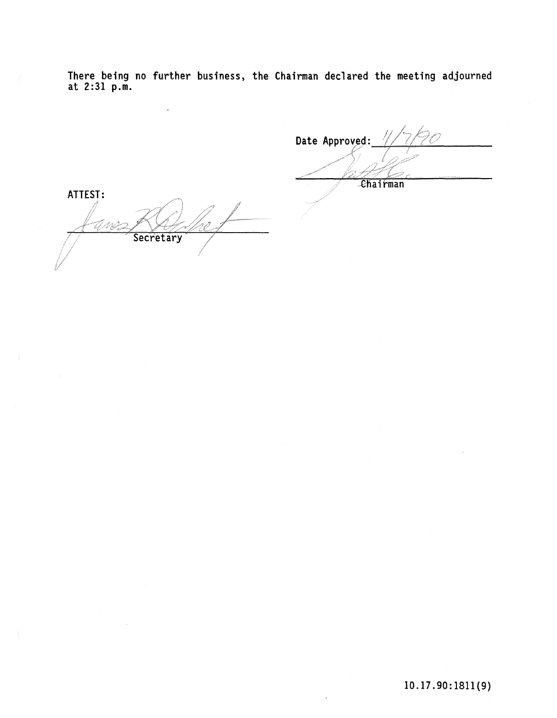There being no further business, the Chairman declared the meeting adjourned at 2:31 p.m.

Date Approved: ehairman ATTEST: 7 MG Secretary